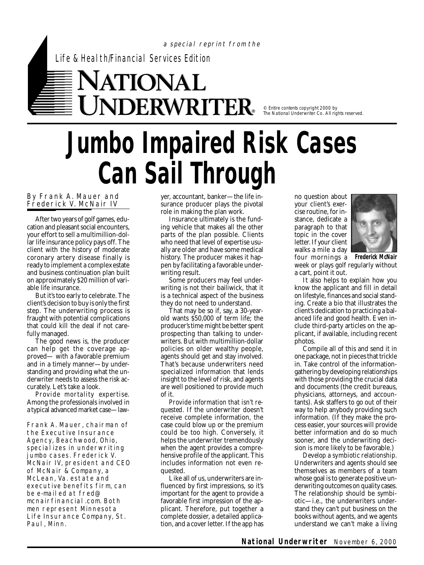Life & Health/Financial Services Edition

## TIONAL  $\mathbf{DERWRITER}$  .  $\mathbf{R}_{\sf R}$  are contents copyright 2000 by

The National Underwriter Co. All rights reserved.

## **Jumbo Impaired Risk Cases Can Sail Through**

a special reprint from the

## By Frank A. Mauer and Frederick V. McNair IV

After two years of golf games, education and pleasant social encounters, your effort to sell a multimillion-dollar life insurance policy pays off. The client with the history of moderate coronary artery disease finally is ready to implement a complex estate and business continuation plan built on approximately \$20 million of variable life insurance.

But it's too early to celebrate. The client's decision to buy is only the first step. The underwriting process is fraught with potential complications that could kill the deal if not carefully managed.

The good news is, the producer can help get the coverage approved— with a favorable premium and in a timely manner—by understanding and providing what the underwriter needs to assess the risk accurately. Let's take a look.

*Provide mortality expertise.* Among the professionals involved in a typical advanced market case—law-

Frank A. Mauer, chairman of the Executive Insurance Agency, Beachwood, Ohio, special izes in underwriting jumbo cases. Frederick V. McNair IV, president and CEO of McNair & Company, a McLean, Va. estate and executive benefits firm, can be e-mailed at fred@ mcnairfinancial.com. Both men represent Minnesota Life Insurance Company, St. Paul, Minn.

yer, accountant, banker—the life insurance producer plays the pivotal role in making the plan work.

Insurance ultimately is the funding vehicle that makes all the other parts of the plan possible. Clients who need that level of expertise usually are older and have some medical history. The producer makes it happen by facilitating a favorable underwriting result.

Some producers may feel underwriting is not their bailiwick, that it is a technical aspect of the business they do not need to understand.

That may be so if, say, a 30-yearold wants \$50,000 of term life; the producer's time might be better spent prospecting than talking to underwriters. But with multimillion-dollar policies on older wealthy people, agents should get and stay involved. That's because underwriters need specialized information that lends insight to the level of risk, and agents are well positioned to provide much of it.

*Provide information that isn't requested.* If the underwriter doesn't receive complete information, the case could blow up or the premium could be too high. Conversely, it helps the underwriter tremendously when the agent provides a comprehensive profile of the applicant. This includes information not even requested.

Like all of us, underwriters are influenced by first impressions, so it's important for the agent to provide a favorable first impression of the applicant. Therefore, put together a complete dossier, a detailed application, and a cover letter. If the app has no question about your client's exercise routine, for instance, dedicate a paragraph to that topic in the cover letter. If your client walks a mile a day four mornings a



week or plays golf regularly without a cart, point it out. **Frederick McNair**

It also helps to explain how you know the applicant and fill in detail on lifestyle, finances and social standing. Create a bio that illustrates the client's dedication to practicing a balanced life and good health. Even include third-party articles on the applicant, if available, including recent photos.

Compile all of this and send it in one package, not in pieces that trickle in. Take control of the informationgathering by developing relationships with those providing the crucial data and documents (the credit bureaus, physicians, attorneys, and accountants). Ask staffers to go out of their way to help anybody providing such information. (If they make the process easier, your sources will provide better information and do so much sooner, and the underwriting decision is more likely to be favorable.)

*Develop a symbiotic relationship.* Underwriters and agents should see themselves as members of a team whose goal is to generate positive underwriting outcomes on quality cases. The relationship should be symbiotic—i.e., the underwriters understand they can't put business on the books without agents, and we agents understand we can't make a living